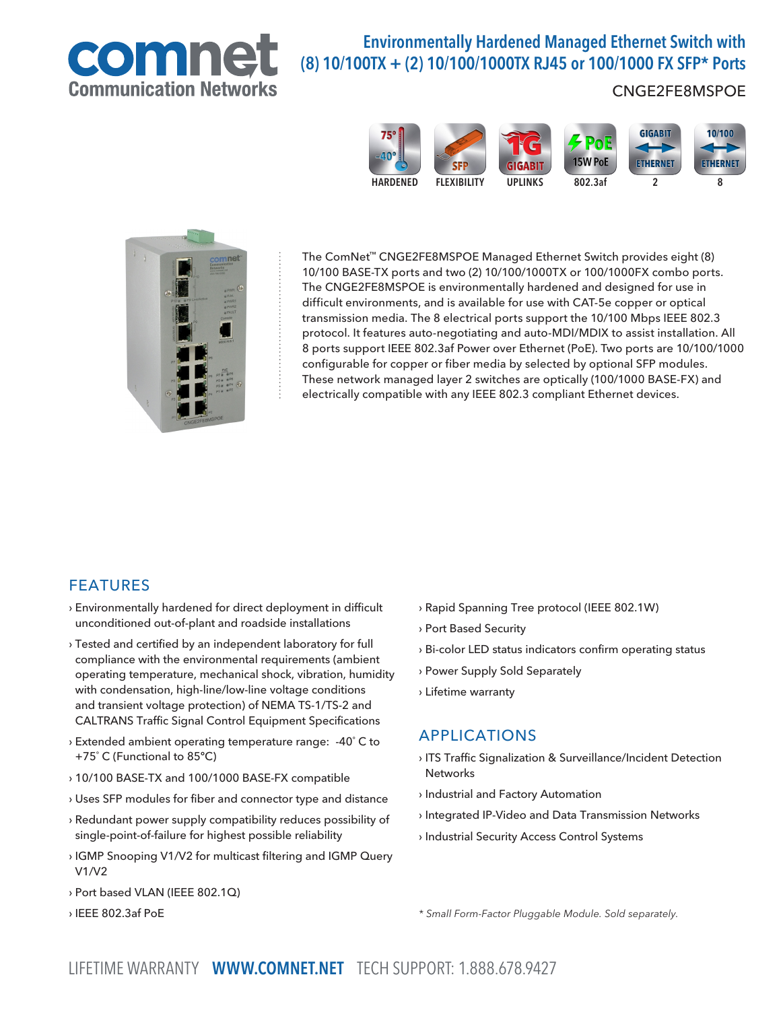

# Environmentally Hardened Managed Ethernet Switch with (8) 10/100TX + (2) 10/100/1000TX RJ45 or 100/1000 FX SFP\* Ports

## CNGE2FE8MSPOE





The ComNet™ CNGE2FE8MSPOE Managed Ethernet Switch provides eight (8) 10/100 BASE-TX ports and two (2) 10/100/1000TX or 100/1000FX combo ports. The CNGE2FE8MSPOE is environmentally hardened and designed for use in difficult environments, and is available for use with CAT-5e copper or optical transmission media. The 8 electrical ports support the 10/100 Mbps IEEE 802.3 protocol. It features auto-negotiating and auto-MDI/MDIX to assist installation. All 8 ports support IEEE 802.3af Power over Ethernet (PoE). Two ports are 10/100/1000 configurable for copper or fiber media by selected by optional SFP modules. These network managed layer 2 switches are optically (100/1000 BASE-FX) and electrically compatible with any IEEE 802.3 compliant Ethernet devices.

### FEATURES

- › Environmentally hardened for direct deployment in difficult unconditioned out-of-plant and roadside installations
- › Tested and certified by an independent laboratory for full compliance with the environmental requirements (ambient operating temperature, mechanical shock, vibration, humidity with condensation, high-line/low-line voltage conditions and transient voltage protection) of NEMA TS-1/TS-2 and CALTRANS Traffic Signal Control Equipment Specifications
- › Extended ambient operating temperature range: -40˚ C to +75˚ C (Functional to 85ºC)
- › 10/100 BASE-TX and 100/1000 BASE-FX compatible
- › Uses SFP modules for fiber and connector type and distance
- › Redundant power supply compatibility reduces possibility of single-point-of-failure for highest possible reliability
- › IGMP Snooping V1/V2 for multicast filtering and IGMP Query V1/V2
- › Port based VLAN (IEEE 802.1Q)
- › IEEE 802.3af PoE
- › Rapid Spanning Tree protocol (IEEE 802.1W)
- › Port Based Security
- › Bi-color LED status indicators confirm operating status
- › Power Supply Sold Separately
- › Lifetime warranty

### APPLICATIONS

- › ITS Traffic Signalization & Surveillance/Incident Detection Networks
- › Industrial and Factory Automation
- › Integrated IP-Video and Data Transmission Networks
- › Industrial Security Access Control Systems

\* Small Form-Factor Pluggable Module. Sold separately.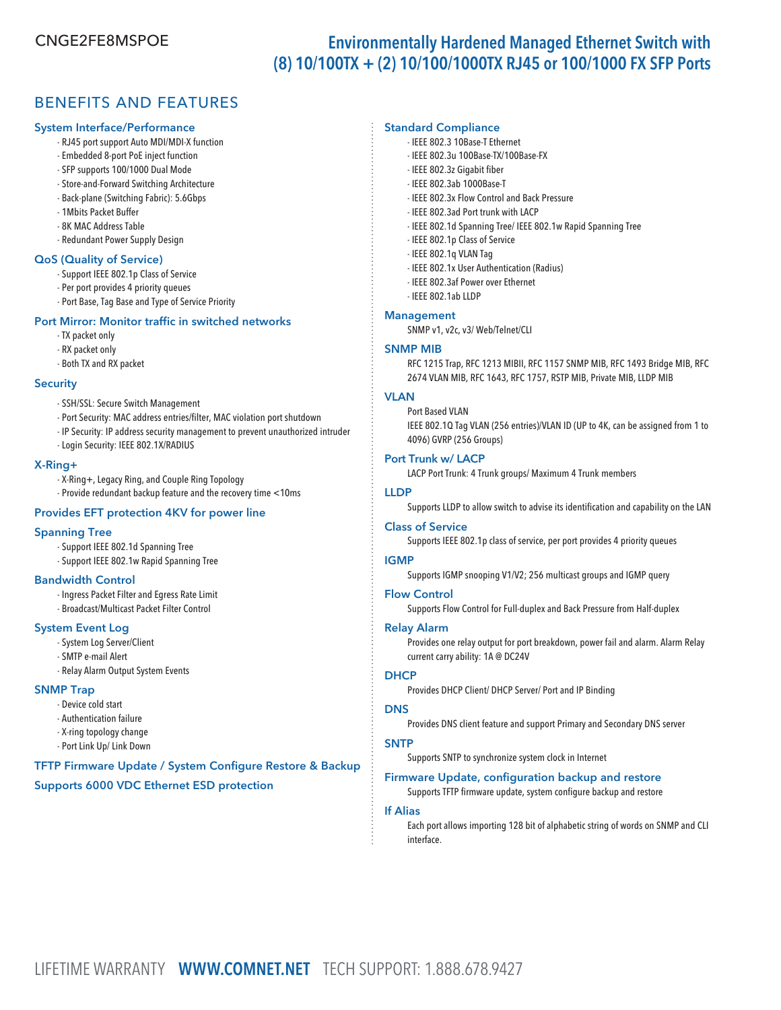# CNGE2FE8MSPOE Environmentally Hardened Managed Ethernet Switch with (8) 10/100TX + (2) 10/100/1000TX RJ45 or 100/1000 FX SFP Ports

## BENEFITS AND FEATURES

#### System Interface/Performance

- RJ45 port support Auto MDI/MDI-X function
- Embedded 8-port PoE inject function
- SFP supports 100/1000 Dual Mode
- Store-and-Forward Switching Architecture
- Back-plane (Switching Fabric): 5.6Gbps
- 1Mbits Packet Buffer
- 8K MAC Address Table
- Redundant Power Supply Design

#### QoS (Quality of Service)

- Support IEEE 802.1p Class of Service
- Per port provides 4 priority queues
- Port Base, Tag Base and Type of Service Priority

#### Port Mirror: Monitor traffic in switched networks

- TX packet only
- RX packet only
- Both TX and RX packet

#### **Security**

- SSH/SSL: Secure Switch Management
- Port Security: MAC address entries/filter, MAC violation port shutdown
- IP Security: IP address security management to prevent unauthorized intruder
- Login Security: IEEE 802.1X/RADIUS

#### X-Ring+

- X-Ring+, Legacy Ring, and Couple Ring Topology
- Provide redundant backup feature and the recovery time <10ms

#### Provides EFT protection 4KV for power line

#### Spanning Tree

- Support IEEE 802.1d Spanning Tree
- Support IEEE 802.1w Rapid Spanning Tree

#### Bandwidth Control

- Ingress Packet Filter and Egress Rate Limit
- Broadcast/Multicast Packet Filter Control

#### System Event Log

- System Log Server/Client
- SMTP e-mail Alert
- Relay Alarm Output System Events

#### SNMP Trap

- Device cold start
- Authentication failure
- X-ring topology change
- Port Link Up/ Link Down

TFTP Firmware Update / System Configure Restore & Backup Supports 6000 VDC Ethernet ESD protection

#### Standard Compliance

- IEEE 802.3 10Base-T Ethernet
- IEEE 802.3u 100Base-TX/100Base-FX
- IEEE 802.3z Gigabit fiber
- IEEE 802.3ab 1000Base-T
- IEEE 802.3x Flow Control and Back Pressure
- IEEE 802.3ad Port trunk with LACP
- IEEE 802.1d Spanning Tree/ IEEE 802.1w Rapid Spanning Tree
- IEEE 802.1p Class of Service
- IEEE 802.1q VLAN Tag
- IEEE 802.1x User Authentication (Radius)
- IEEE 802.3af Power over Ethernet
- IEEE 802.1ab LLDP

#### Management

SNMP v1, v2c, v3/ Web/Telnet/CLI

#### SNMP MIB

 RFC 1215 Trap, RFC 1213 MIBII, RFC 1157 SNMP MIB, RFC 1493 Bridge MIB, RFC 2674 VLAN MIB, RFC 1643, RFC 1757, RSTP MIB, Private MIB, LLDP MIB

#### **VI AN**

 Port Based VLAN IEEE 802.1Q Tag VLAN (256 entries)/VLAN ID (UP to 4K, can be assigned from 1 to 4096) GVRP (256 Groups)

#### Port Trunk w/ LACP

LACP Port Trunk: 4 Trunk groups/ Maximum 4 Trunk members

#### LLDP

Supports LLDP to allow switch to advise its identification and capability on the LAN

#### Class of Service

Supports IEEE 802.1p class of service, per port provides 4 priority queues

#### IGMP

Supports IGMP snooping V1/V2; 256 multicast groups and IGMP query

#### Flow Control

Supports Flow Control for Full-duplex and Back Pressure from Half-duplex

#### Relay Alarm

 Provides one relay output for port breakdown, power fail and alarm. Alarm Relay current carry ability: 1A @ DC24V

#### **DHCP**

Provides DHCP Client/ DHCP Server/ Port and IP Binding

#### **DNS**

Provides DNS client feature and support Primary and Secondary DNS server

#### **SNTP**

Supports SNTP to synchronize system clock in Internet

#### Firmware Update, configuration backup and restore

Supports TFTP firmware update, system configure backup and restore

#### If Alias

 Each port allows importing 128 bit of alphabetic string of words on SNMP and CLI interface.